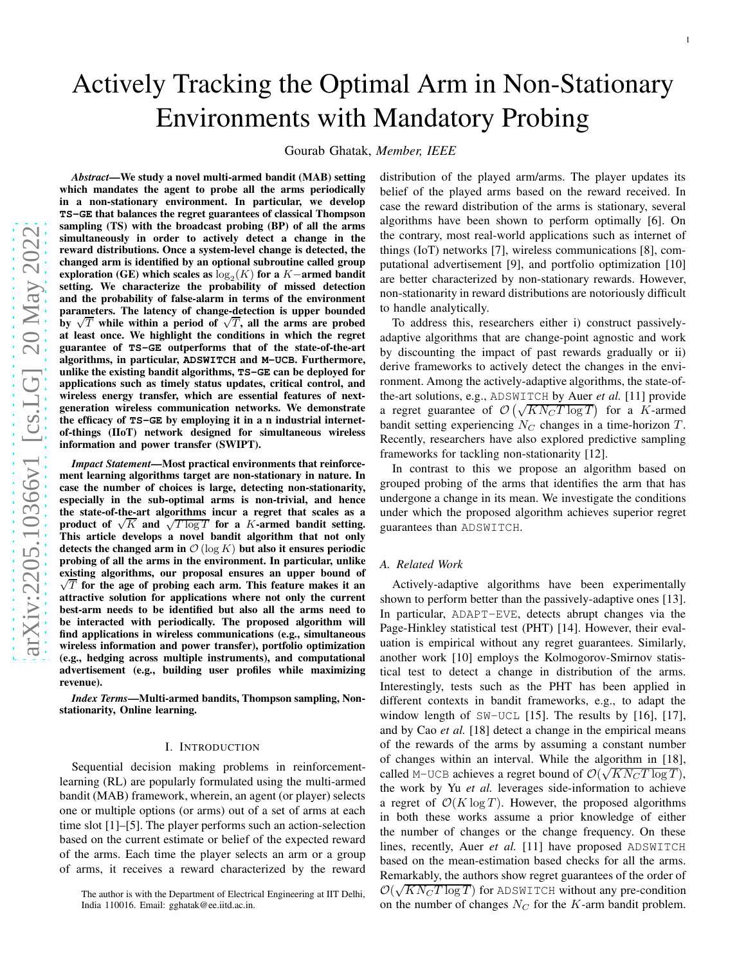# Actively Tracking the Optimal Arm in Non-Stationary Environments with Mandatory Probing

Gourab Ghatak, *Member, IEEE*

*Abstract*—We study a novel multi-armed bandit (MAB) setting which mandates the agent to probe all the arms periodically in a non-stationary environment. In particular, we develop **TS-GE** that balances the regret guarantees of classical Thompson sampling (TS) with the broadcast probing (BP) of all the arms simultaneously in order to actively detect a change in the reward distributions. Once a system-level change is detected, the changed arm is identified by an optional subroutine called group exploration (GE) which scales as  $\log_2(K)$  for a K-armed bandit setting. We characterize the probability of missed detection and the probability of false-alarm in terms of the environment parameters. The latency of change-detection is upper bounded by  $\sqrt{T}$  while within a period of  $\sqrt{T}$ , all the arms are probed at least once. We highlight the conditions in which the regre t guarantee of **TS-GE** outperforms that of the state-of-the-art algorithms, in particular, **ADSWITCH** and **M-UCB**. Furthermore, unlike the existing bandit algorithms, **TS-GE** can be deployed for applications such as timely status updates, critical control, and wireless energy transfer, which are essential features of nextgeneration wireless communication networks. We demonstrate the efficacy of **TS-GE** by employing it in a n industrial internetof-things (IIoT) network designed for simultaneous wireless information and power transfer (SWIPT).

*Impact Statement*—Most practical environments that reinforcement learning algorithms target are non-stationary in nature. In case the number of choices is large, detecting non-stationarity, especially in the sub-optimal arms is non-trivial, and henc e the state-of-the-art algorithms incur a regret that scales as a product of  $\sqrt{K}$  and  $\sqrt{T \log T}$  for a K-armed bandit setting. This article develops a novel bandit algorithm that not only detects the changed arm in  $\mathcal{O}(\log K)$  but also it ensures periodic probing of all the arms in the environment. In particular, unlike existing algorithms, our proposal ensures an upper bound of  $\sqrt{T}$  for the age of probing each arm. This feature makes it an attractive solution for applications where not only the current best-arm needs to be identified but also all the arms need to be interacted with periodically. The proposed algorithm will find applications in wireless communications (e.g., simultaneous wireless information and power transfer), portfolio optimization (e.g., hedging across multiple instruments), and computational advertisement (e.g., building user profiles while maximizing revenue).

*Index Terms*—Multi-armed bandits, Thompson sampling, Nonstationarity, Online learning.

## I. INTRODUCTION

Sequential decision making problems in reinforcementlearning (RL) are popularly formulated using the multi-armed bandit (MAB) framework, wherein, an agent (or player) selects one or multiple options (or arms) out of a set of arms at each time slot [1]–[5]. The player performs such an action-selection based on the current estimate or belief of the expected rewar d of the arms. Each time the player selects an arm or a group of arms, it receives a reward characterized by the reward distribution of the played arm/arms. The player updates its belief of the played arms based on the reward received. In case the reward distribution of the arms is stationary, several algorithms have been shown to perform optimally [6]. On the contrary, most real-world applications such as internet of things (IoT) networks [7], wireless communications [8], computational advertisement [9], and portfolio optimization [10] are better characterized by non-stationary rewards. However, non-stationarity in reward distributions are notoriously difficult to handle analytically.

To address this, researchers either i) construct passively adaptive algorithms that are change-point agnostic and wor k by discounting the impact of past rewards gradually or ii) derive frameworks to actively detect the changes in the envi ronment. Among the actively-adaptive algorithms, the state-ofthe-art solutions, e.g., ADSWITCH by Auer *et al.* [11] provide a regret guarantee of  $\mathcal{O}(\sqrt{KN_C T \log T})$  for a K-armed bandit setting experiencing  $N_C$  changes in a time-horizon T. Recently, researchers have also explored predictive sampling frameworks for tackling non-stationarity [12].

In contrast to this we propose an algorithm based on grouped probing of the arms that identifies the arm that has undergone a change in its mean. We investigate the condition s under which the proposed algorithm achieves superior regre t guarantees than ADSWITCH .

#### *A. Related Work*

Actively-adaptive algorithms have been experimentally shown to perform better than the passively-adaptive ones [13]. In particular, ADAPT-EVE, detects abrupt changes via the Page-Hinkley statistical test (PHT) [14]. However, their evaluation is empirical without any regret guarantees. Similarly, another work [10] employs the Kolmogorov-Smirnov statistical test to detect a change in distribution of the arms. Interestingly, tests such as the PHT has been applied in different contexts in bandit frameworks, e.g., to adapt the window length of  $SW-UCL$  [15]. The results by [16], [17], and by Cao *et al.* [18] detect a change in the empirical means of the rewards of the arms by assuming a constant number of changes within an interval. While the algorithm in [18], called M-UCB achieves a regret bound of  $\mathcal{O}(\sqrt{KN_C T \log T})$ , the work by Yu *et al.* leverages side-information to achieve a regret of  $O(K \log T)$ . However, the proposed algorithms in both these works assume a prior knowledge of either the number of changes or the change frequency. On these lines, recently, Auer *et al.* [11] have proposed ADSWITCH based on the mean-estimation based checks for all the arms. Remarkably, the authors show regret guarantees of the order of  $\mathcal{O}(\sqrt{KN_C T \log T})$  for ADSWITCH without any pre-condition on the number of changes  $N_C$  for the K-arm bandit problem.

The author is with the Department of Electrical Engineering at IIT Delhi, India 110016. Email: gghatak@ee.iitd.ac.in.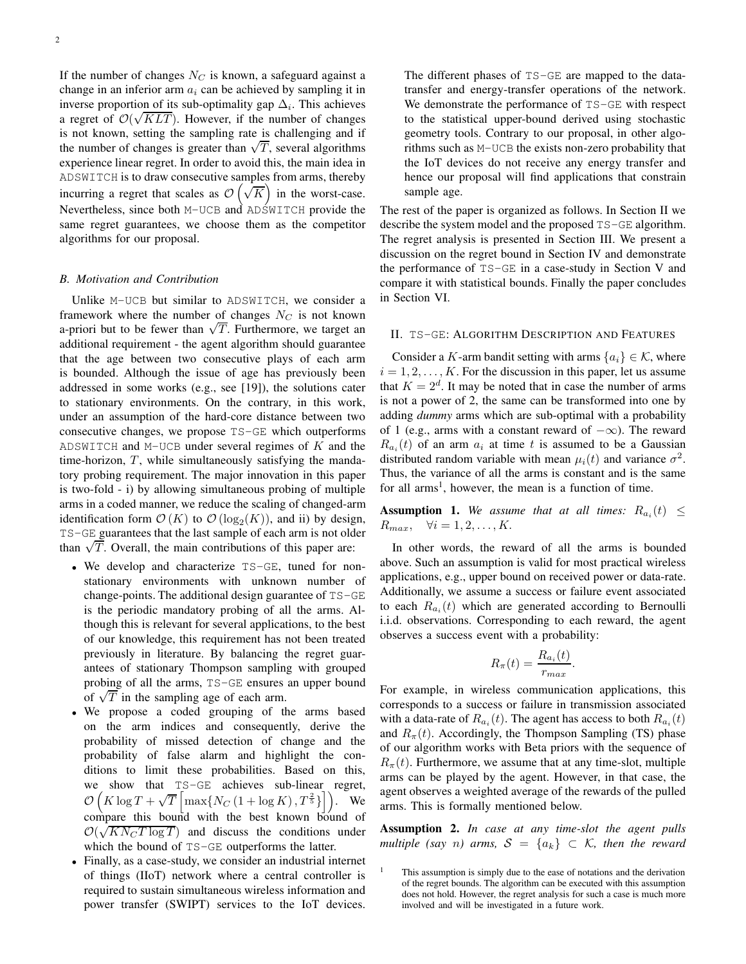If the number of changes  $N_C$  is known, a safeguard against a change in an inferior arm  $a_i$  can be achieved by sampling it in inverse proportion of its sub-optimality gap  $\Delta_i$ . This achieves a regret of  $\mathcal{O}(\sqrt{KLT})$ . However, if the number of changes is not known, setting the sampling rate is challenging and if the number of changes is greater than  $\sqrt{T}$ , several algorithms experience linear regret. In order to avoid this, the main idea in ADSWITCH is to draw consecutive samples from arms, thereby incurring a regret that scales as  $\mathcal{O}\left(\sqrt{K}\right)$  in the worst-case. Nevertheless, since both M-UCB and ADSWITCH provide the same regret guarantees, we choose them as the competitor algorithms for our proposal.

## *B. Motivation and Contribution*

Unlike M-UCB but similar to ADSWITCH, we consider a framework where the number of changes  $N_C$  is not known a-priori but to be fewer than  $\sqrt{T}$ . Furthermore, we target an additional requirement - the agent algorithm should guarantee that the age between two consecutive plays of each arm is bounded. Although the issue of age has previously been addressed in some works (e.g., see [19]), the solutions cater to stationary environments. On the contrary, in this work, under an assumption of the hard-core distance between two consecutive changes, we propose TS-GE which outperforms ADSWITCH and M-UCB under several regimes of  $K$  and the time-horizon,  $T$ , while simultaneously satisfying the mandatory probing requirement. The major innovation in this paper is two-fold - i) by allowing simultaneous probing of multiple arms in a coded manner, we reduce the scaling of changed-arm identification form  $\mathcal{O}(K)$  to  $\mathcal{O}(\log_2(K))$ , and ii) by design, TS-GE guarantees that the last sample of each arm is not older than  $\sqrt{T}$ . Overall, the main contributions of this paper are:

- We develop and characterize TS-GE, tuned for nonstationary environments with unknown number of change-points. The additional design guarantee of TS-GE is the periodic mandatory probing of all the arms. Although this is relevant for several applications, to the best of our knowledge, this requirement has not been treated previously in literature. By balancing the regret guarantees of stationary Thompson sampling with grouped probing of all the arms, TS-GE ensures an upper bound of  $\sqrt{T}$  in the sampling age of each arm.
- We propose a coded grouping of the arms based on the arm indices and consequently, derive the probability of missed detection of change and the probability of false alarm and highlight the conditions to limit these probabilities. Based on this, we show that TS-GE achieves sub-linear regret,  $\mathcal{O}\left(K\log T + \sqrt{T}\left[\max\{N_C\left(1 + \log K\right), T^{\frac{2}{5}}\}\right]\right)$ . We compare this bound with the best known bound of  $\mathcal{O}(\sqrt{KN_C T \log T})$  and discuss the conditions under which the bound of TS-GE outperforms the latter.
- Finally, as a case-study, we consider an industrial internet of things (IIoT) network where a central controller is required to sustain simultaneous wireless information and power transfer (SWIPT) services to the IoT devices.

The different phases of TS-GE are mapped to the datatransfer and energy-transfer operations of the network. We demonstrate the performance of TS-GE with respect to the statistical upper-bound derived using stochastic geometry tools. Contrary to our proposal, in other algorithms such as M-UCB the exists non-zero probability that the IoT devices do not receive any energy transfer and hence our proposal will find applications that constrain sample age.

The rest of the paper is organized as follows. In Section II we describe the system model and the proposed TS-GE algorithm. The regret analysis is presented in Section III. We present a discussion on the regret bound in Section IV and demonstrate the performance of TS-GE in a case-study in Section V and compare it with statistical bounds. Finally the paper concludes in Section VI.

## II. TS-GE: ALGORITHM DESCRIPTION AND FEATURES

Consider a K-arm bandit setting with arms  $\{a_i\} \in \mathcal{K}$ , where  $i = 1, 2, \ldots, K$ . For the discussion in this paper, let us assume that  $K = 2<sup>d</sup>$ . It may be noted that in case the number of arms is not a power of 2, the same can be transformed into one by adding *dummy* arms which are sub-optimal with a probability of 1 (e.g., arms with a constant reward of  $-\infty$ ). The reward  $R_{a_i}(t)$  of an arm  $a_i$  at time t is assumed to be a Gaussian distributed random variable with mean  $\mu_i(t)$  and variance  $\sigma^2$ . Thus, the variance of all the arms is constant and is the same for all arms<sup>1</sup>, however, the mean is a function of time.

**Assumption 1.** We assume that at all times:  $R_{a_i}(t) \leq$  $R_{max}$ ,  $\forall i = 1, 2, \ldots, K$ .

In other words, the reward of all the arms is bounded above. Such an assumption is valid for most practical wireless applications, e.g., upper bound on received power or data-rate. Additionally, we assume a success or failure event associated to each  $R_{a_i}(t)$  which are generated according to Bernoulli i.i.d. observations. Corresponding to each reward, the agent observes a success event with a probability:

$$
R_{\pi}(t) = \frac{R_{a_i}(t)}{r_{max}}.
$$

For example, in wireless communication applications, this corresponds to a success or failure in transmission associated with a data-rate of  $R_{a_i}(t)$ . The agent has access to both  $R_{a_i}(t)$ and  $R_{\pi}(t)$ . Accordingly, the Thompson Sampling (TS) phase of our algorithm works with Beta priors with the sequence of  $R_{\pi}(t)$ . Furthermore, we assume that at any time-slot, multiple arms can be played by the agent. However, in that case, the agent observes a weighted average of the rewards of the pulled arms. This is formally mentioned below.

Assumption 2. *In case at any time-slot the agent pulls multiple (say n) arms,*  $S = \{a_k\} \subset K$ *, then the reward* 

<sup>1</sup> This assumption is simply due to the ease of notations and the derivation of the regret bounds. The algorithm can be executed with this assumption does not hold. However, the regret analysis for such a case is much more involved and will be investigated in a future work.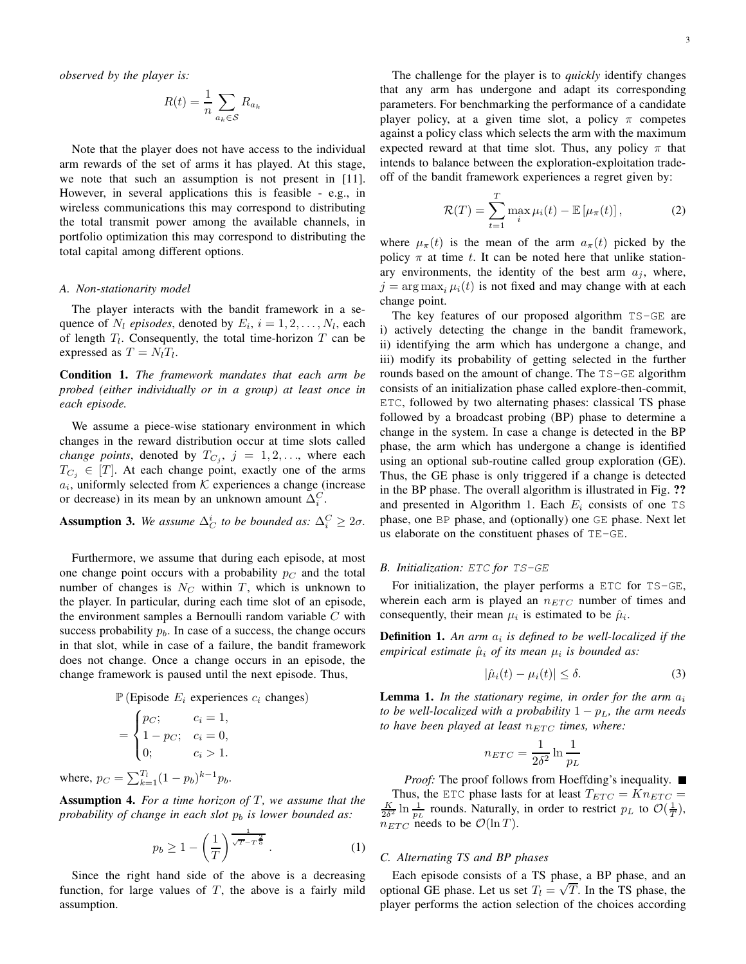*observed by the player is:*

$$
R(t) = \frac{1}{n} \sum_{a_k \in \mathcal{S}} R_{a_k}
$$

Note that the player does not have access to the individual arm rewards of the set of arms it has played. At this stage, we note that such an assumption is not present in [11]. However, in several applications this is feasible - e.g., in wireless communications this may correspond to distributing the total transmit power among the available channels, in portfolio optimization this may correspond to distributing the total capital among different options.

## *A. Non-stationarity model*

The player interacts with the bandit framework in a sequence of  $N_l$  *episodes*, denoted by  $E_i$ ,  $i = 1, 2, \ldots, N_l$ , each of length  $T_l$ . Consequently, the total time-horizon  $T$  can be expressed as  $T = N_l T_l$ .

Condition 1. *The framework mandates that each arm be probed (either individually or in a group) at least once in each episode.*

We assume a piece-wise stationary environment in which changes in the reward distribution occur at time slots called *change points*, denoted by  $T_{C_j}$ ,  $j = 1, 2, \ldots$ , where each  $T_{C_i} \in [T]$ . At each change point, exactly one of the arms  $a_i$ , uniformly selected from  $K$  experiences a change (increase or decrease) in its mean by an unknown amount  $\Delta_i^C$ .

**Assumption 3.** We assume  $\Delta_C^i$  to be bounded as:  $\Delta_i^C \geq 2\sigma$ .

Furthermore, we assume that during each episode, at most one change point occurs with a probability  $p<sub>C</sub>$  and the total number of changes is  $N_C$  within T, which is unknown to the player. In particular, during each time slot of an episode, the environment samples a Bernoulli random variable  $C$  with success probability  $p<sub>b</sub>$ . In case of a success, the change occurs in that slot, while in case of a failure, the bandit framework does not change. Once a change occurs in an episode, the change framework is paused until the next episode. Thus,

 $\mathbb{P}$  (Episode  $E_i$  experiences  $c_i$  changes)

$$
= \begin{cases} p_C; & c_i = 1, \\ 1 - p_C; & c_i = 0, \\ 0; & c_i > 1. \end{cases}
$$

where,  $p_C = \sum_{k=1}^{T_l} (1 - p_b)^{k-1} p_b$ .

Assumption 4. For a time horizon of T, we assume that the *probability of change in each slot*  $p_b$  *is lower bounded as:* 

$$
p_b \ge 1 - \left(\frac{1}{T}\right)^{\frac{1}{\sqrt{T-T^{\frac{2}{5}}}}}.
$$
 (1)

Since the right hand side of the above is a decreasing function, for large values of  $T$ , the above is a fairly mild assumption.

The challenge for the player is to *quickly* identify changes that any arm has undergone and adapt its corresponding parameters. For benchmarking the performance of a candidate player policy, at a given time slot, a policy  $\pi$  competes against a policy class which selects the arm with the maximum expected reward at that time slot. Thus, any policy  $\pi$  that intends to balance between the exploration-exploitation tradeoff of the bandit framework experiences a regret given by:

$$
\mathcal{R}(T) = \sum_{t=1}^{T} \max_{i} \mu_i(t) - \mathbb{E}\left[\mu_\pi(t)\right],\tag{2}
$$

where  $\mu_{\pi}(t)$  is the mean of the arm  $a_{\pi}(t)$  picked by the policy  $\pi$  at time t. It can be noted here that unlike stationary environments, the identity of the best arm  $a_i$ , where,  $j = \arg \max_i \mu_i(t)$  is not fixed and may change with at each change point.

The key features of our proposed algorithm TS-GE are i) actively detecting the change in the bandit framework, ii) identifying the arm which has undergone a change, and iii) modify its probability of getting selected in the further rounds based on the amount of change. The TS-GE algorithm consists of an initialization phase called explore-then-commit, ETC, followed by two alternating phases: classical TS phase followed by a broadcast probing (BP) phase to determine a change in the system. In case a change is detected in the BP phase, the arm which has undergone a change is identified using an optional sub-routine called group exploration (GE). Thus, the GE phase is only triggered if a change is detected in the BP phase. The overall algorithm is illustrated in Fig. ?? and presented in Algorithm 1. Each  $E_i$  consists of one TS phase, one BP phase, and (optionally) one GE phase. Next let us elaborate on the constituent phases of TE-GE.

## *B. Initialization:* ETC *for* TS-GE

For initialization, the player performs a ETC for TS-GE, wherein each arm is played an  $n_{ETC}$  number of times and consequently, their mean  $\mu_i$  is estimated to be  $\hat{\mu}_i$ .

**Definition 1.** An arm  $a_i$  is defined to be well-localized if the *empirical estimate*  $\hat{\mu}_i$  *of its mean*  $\mu_i$  *is bounded as:* 

$$
|\hat{\mu}_i(t) - \mu_i(t)| \le \delta. \tag{3}
$$

**Lemma 1.** In the stationary regime, in order for the arm  $a_i$ *to be well-localized with a probability*  $1 - p_L$ *, the arm needs to have been played at least*  $n_{ETC}$  *times, where:* 

$$
n_{ETC} = \frac{1}{2\delta^2} \ln \frac{1}{p_L}
$$

*Proof:* The proof follows from Hoeffding's inequality. ■ Thus, the ETC phase lasts for at least  $T_{ETC} = Kn_{ETC}$  =  $\frac{K}{2\delta^2} \ln \frac{1}{p_L}$  rounds. Naturally, in order to restrict  $p_L$  to  $\mathcal{O}(\frac{1}{T}),$  $n_{ETC}$  needs to be  $\mathcal{O}(\ln T)$ .

## *C. Alternating TS and BP phases*

Each episode consists of a TS phase, a BP phase, and an optional GE phase. Let us set  $T_l = \sqrt{T}$ . In the TS phase, the player performs the action selection of the choices according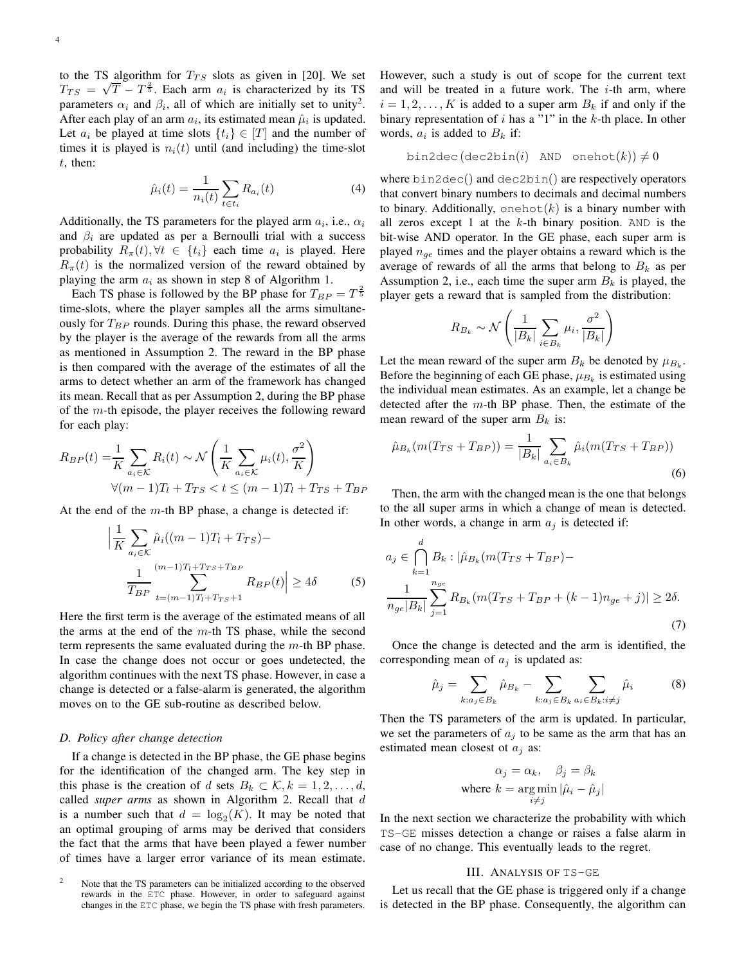to the TS algorithm for  $T_{TS}$  slots as given in [20]. We set  $T_{TS} = \sqrt{T} - T^{\frac{2}{5}}$ . Each arm  $a_i$  is characterized by its TS parameters  $\alpha_i$  and  $\beta_i$ , all of which are initially set to unity<sup>2</sup>. After each play of an arm  $a_i$ , its estimated mean  $\hat{\mu}_i$  is updated. Let  $a_i$  be played at time slots  $\{t_i\} \in [T]$  and the number of times it is played is  $n<sub>i</sub>(t)$  until (and including) the time-slot t, then:

$$
\hat{\mu}_i(t) = \frac{1}{n_i(t)} \sum_{t \in t_i} R_{a_i}(t) \tag{4}
$$

Additionally, the TS parameters for the played arm  $a_i$ , i.e.,  $\alpha_i$ and  $\beta_i$  are updated as per a Bernoulli trial with a success probability  $R_{\pi}(t), \forall t \in \{t_i\}$  each time  $a_i$  is played. Here  $R_{\pi}(t)$  is the normalized version of the reward obtained by playing the arm  $a_i$  as shown in step 8 of Algorithm 1.

Each TS phase is followed by the BP phase for  $T_{BP} = T^{\frac{2}{5}}$ time-slots, where the player samples all the arms simultaneously for  $T_{BP}$  rounds. During this phase, the reward observed by the player is the average of the rewards from all the arms as mentioned in Assumption 2. The reward in the BP phase is then compared with the average of the estimates of all the arms to detect whether an arm of the framework has changed its mean. Recall that as per Assumption 2, during the BP phase of the  $m$ -th episode, the player receives the following reward for each play:

$$
R_{BP}(t) = \frac{1}{K} \sum_{a_i \in \mathcal{K}} R_i(t) \sim \mathcal{N}\left(\frac{1}{K} \sum_{a_i \in \mathcal{K}} \mu_i(t), \frac{\sigma^2}{K}\right)
$$
  

$$
\forall (m-1)T_l + T_{TS} < t \le (m-1)T_l + T_{TS} + T_{BP}
$$

At the end of the  $m$ -th BP phase, a change is detected if:

$$
\left| \frac{1}{K} \sum_{a_i \in \mathcal{K}} \hat{\mu}_i ((m-1)T_l + T_{TS}) - \frac{1}{T_{BP}} \sum_{t=(m-1)T_l + T_{TS} + T_{BP}} R_{BP}(t) \right| \ge 4\delta \tag{5}
$$

Here the first term is the average of the estimated means of all the arms at the end of the  $m$ -th TS phase, while the second term represents the same evaluated during the  $m$ -th BP phase. In case the change does not occur or goes undetected, the algorithm continues with the next TS phase. However, in case a change is detected or a false-alarm is generated, the algorithm moves on to the GE sub-routine as described below.

### *D. Policy after change detection*

If a change is detected in the BP phase, the GE phase begins for the identification of the changed arm. The key step in this phase is the creation of d sets  $B_k \subset \mathcal{K}, k = 1, 2, \ldots, d$ , called *super arms* as shown in Algorithm 2. Recall that d is a number such that  $d = \log_2(K)$ . It may be noted that an optimal grouping of arms may be derived that considers the fact that the arms that have been played a fewer number of times have a larger error variance of its mean estimate.

However, such a study is out of scope for the current text and will be treated in a future work. The  $i$ -th arm, where  $i = 1, 2, \dots, K$  is added to a super arm  $B_k$  if and only if the binary representation of  $i$  has a "1" in the  $k$ -th place. In other words,  $a_i$  is added to  $B_k$  if:

$$
\texttt{bin2dec}(\texttt{dec2bin}(i) \texttt{ AND} \texttt{onehot}(k)) \neq 0
$$

where bin2dec() and dec2bin() are respectively operators that convert binary numbers to decimals and decimal numbers to binary. Additionally, onehot  $(k)$  is a binary number with all zeros except 1 at the  $k$ -th binary position. AND is the bit-wise AND operator. In the GE phase, each super arm is played  $n_{ge}$  times and the player obtains a reward which is the average of rewards of all the arms that belong to  $B_k$  as per Assumption 2, i.e., each time the super arm  $B_k$  is played, the player gets a reward that is sampled from the distribution:

$$
R_{B_k} \sim \mathcal{N}\left(\frac{1}{|B_k|} \sum_{i \in B_k} \mu_i, \frac{\sigma^2}{|B_k|}\right)
$$

Let the mean reward of the super arm  $B_k$  be denoted by  $\mu_{B_k}$ . Before the beginning of each GE phase,  $\mu_{B_k}$  is estimated using the individual mean estimates. As an example, let a change be detected after the  $m$ -th BP phase. Then, the estimate of the mean reward of the super arm  $B_k$  is:

$$
\hat{\mu}_{B_k}(m(T_{TS} + T_{BP})) = \frac{1}{|B_k|} \sum_{a_i \in B_k} \hat{\mu}_i(m(T_{TS} + T_{BP}))
$$
\n(6)

Then, the arm with the changed mean is the one that belongs to the all super arms in which a change of mean is detected. In other words, a change in arm  $a_i$  is detected if:

$$
a_j \in \bigcap_{k=1}^d B_k : |\hat{\mu}_{B_k}(m(T_{TS} + T_{BP}) -
$$
  

$$
\frac{1}{n_{ge}|B_k|} \sum_{j=1}^{n_{ge}} R_{B_k}(m(T_{TS} + T_{BP} + (k-1)n_{ge} + j)| \ge 2\delta.
$$
  
(7)

Once the change is detected and the arm is identified, the corresponding mean of  $a_j$  is updated as:

$$
\hat{\mu}_j = \sum_{k:a_j \in B_k} \hat{\mu}_{B_k} - \sum_{k:a_j \in B_k} \sum_{a_i \in B_k: i \neq j} \hat{\mu}_i \tag{8}
$$

Then the TS parameters of the arm is updated. In particular, we set the parameters of  $a_i$  to be same as the arm that has an estimated mean closest ot  $a_i$  as:

$$
\alpha_j = \alpha_k, \quad \beta_j = \beta_k
$$
  
where  $k = \arg\min_{i \neq j} |\hat{\mu}_i - \hat{\mu}_j|$ 

In the next section we characterize the probability with which TS-GE misses detection a change or raises a false alarm in case of no change. This eventually leads to the regret.

#### III. ANALYSIS OF TS-GE

Let us recall that the GE phase is triggered only if a change is detected in the BP phase. Consequently, the algorithm can

<sup>&</sup>lt;sup>2</sup> Note that the TS parameters can be initialized according to the observed rewards in the ETC phase. However, in order to safeguard against changes in the ETC phase, we begin the TS phase with fresh parameters.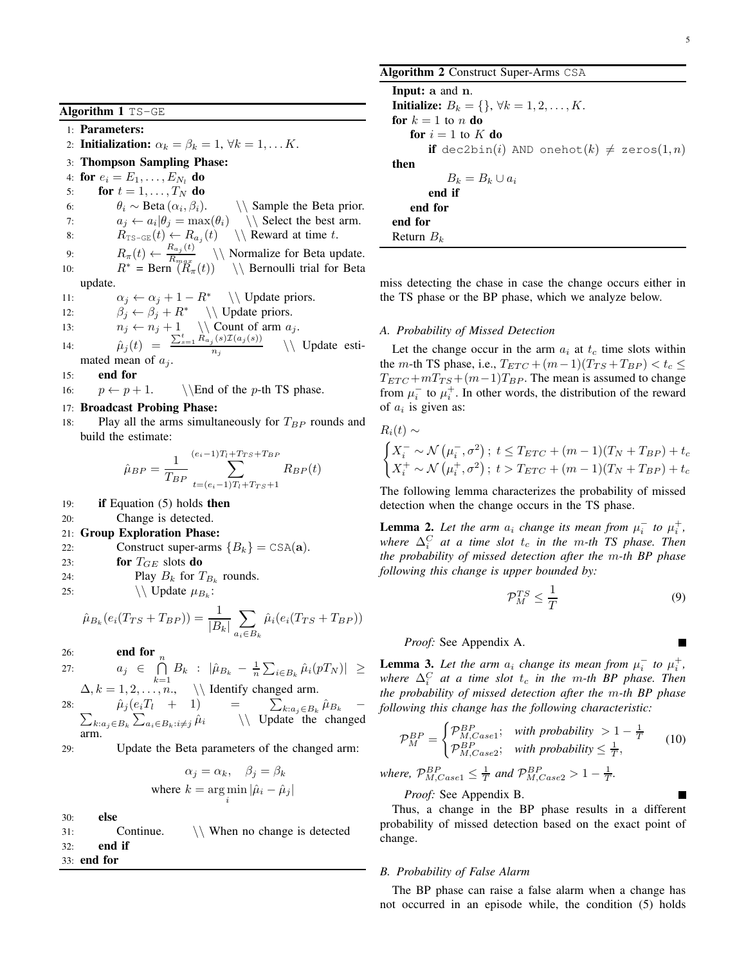Algorithm 1 TS-GE

1: Parameters:

2: Initialization:  $\alpha_k = \beta_k = 1, \forall k = 1, \dots K$ .

3: Thompson Sampling Phase:

4: for  $e_i = E_1, ..., E_{N_l}$  do

5: for  $t = 1, \ldots, T_N$  do

6:  $\theta_i \sim \text{Beta}(\alpha_i, \beta_i).$ <br>7:  $a_i \leftarrow a_i | \theta_i = \text{max}$  $\setminus \$  Sample the Beta prior.  $\setminus \$  Select the best arm.

7:  $a_j \leftarrow a_i | \theta_j = \max(\theta_i)$ <br>8:  $R_{\text{TS-GE}}(t) \leftarrow R_{a_i}(t)$  $R_{\text{TS-GE}}(t) \leftarrow R_{a_j}(t)$  $\setminus \mathcal{R}$  Reward at time t.

9:  $R_{\pi}(t) \leftarrow \frac{R_{a_j}(t)}{R_{max}}$  $R_{max}$ \\ Normalize for Beta update. 10:  $R^* = \text{Bern}(\overline{R}_{\pi}(t)) \setminus \text{Bernoulli trial for Beta}$ update.

11: 
$$
\alpha_j \leftarrow \alpha_j + 1 - R^*
$$
 \ \ \text{Update priors.}

12:  $\beta_j \leftarrow \beta_j + R^* \setminus \text{Update priors.}$ <br>
13:  $n_i \leftarrow n_i + 1 \setminus \text{Count of arm } a_i.$ 

13:  $n_j \leftarrow n_j + 1 \ \setminus \text{Count of arm } a_j.$ 

14:  $\hat{\mu}_j(t) = \frac{\sum_{s=1}^t R_{a_j}(s) \mathcal{I}(a_j(s))}{n_s}$  $n_i$ \\ Update estimated mean of  $a_i$ .

## 15: end for

16:  $p \leftarrow p + 1.$  \\End of the p-th TS phase.

## 17: Broadcast Probing Phase:

18: Play all the arms simultaneously for  $T_{BP}$  rounds and build the estimate:

$$
\hat{\mu}_{BP} = \frac{1}{T_{BP}} \sum_{t=(e_i-1)T_l + T_{TS}+T_{BP}}^{(e_i-1)T_l + T_{TS}+T_{BP}} R_{BP}(t)
$$

- 19: if Equation (5) holds then
- 20: Change is detected.

#### 21: Group Exploration Phase:

22: **Construct super-arms**  ${B_k}$  = CSA(**a**).<br>23: **for**  $T_{GE}$  slots **do** 

for  $T_{GE}$  slots do

- 24: Play  $B_k$  for  $T_{B_k}$  rounds.
- 25:  $\bigvee \bigvee$  Update  $\mu_{B_k}$ :

$$
\hat{\mu}_{B_k}(e_i(T_{TS} + T_{BP})) = \frac{1}{|B_k|} \sum_{a_i \in B_k} \hat{\mu}_i(e_i(T_{TS} + T_{BP}))
$$

26: end for

27:  
\n
$$
a_j \in \bigcap_{k=1}^n B_k : |\hat{\mu}_{B_k} - \frac{1}{n} \sum_{i \in B_k} \hat{\mu}_i(pT_N)| \ge
$$
\n
$$
\Delta, k = 1, 2, ..., n, \quad \setminus \text{Identify changed arm.}
$$

28:  $\hat{\mu}_j (e_i T_l + 1)$  $\sum_{k:a_j\in B_k}\sum_{a_i\in B_k:i\neq j}\hat{\mu}_i$   $\qquad \qquad \setminus \text{Update the}$  $\sum_{k:a_j\in B_k} \hat{\mu}_{B_k}$ \\ Update the changed arm.

29: Update the Beta parameters of the changed arm:

$$
\alpha_j = \alpha_k, \quad \beta_j = \beta_k
$$
  
where  $k = \arg\min_i |\hat{\mu}_i - \hat{\mu}_j|$ 

30: else 31: Continue. \\ When no change is detected 32: end if 33: end for

Algorithm 2 Construct Super-Arms CSA

| <b>Input:</b> a and n.                                                          |
|---------------------------------------------------------------------------------|
| <b>Initialize:</b> $B_k = \{\}, \forall k = 1, 2, , K$ .                        |
| for $k=1$ to n do                                                               |
| for $i = 1$ to K do                                                             |
| <b>if</b> dec2bin( <i>i</i> ) AND onehot( <i>k</i> ) $\neq$ zeros(1, <i>n</i> ) |
| then                                                                            |
| $B_k = B_k \cup a_i$                                                            |
| end if                                                                          |
| end for                                                                         |
| end for                                                                         |
| Return $B_k$                                                                    |

miss detecting the chase in case the change occurs either in the TS phase or the BP phase, which we analyze below.

### *A. Probability of Missed Detection*

Let the change occur in the arm  $a_i$  at  $t_c$  time slots within the *m*-th TS phase, i.e.,  $T_{ETC} + (m-1)(T_{TS} + T_{BP}) < t_c \le$  $T_{ETC} + mT_{TS} + (m-1)T_{BP}$ . The mean is assumed to change from  $\mu_i^-$  to  $\mu_i^+$ . In other words, the distribution of the reward of  $a_i$  is given as:

$$
R_i(t) \sim
$$

$$
\begin{cases} X_i^- \sim \mathcal{N}(\mu_i^-, \sigma^2) \; ; \; t \leq T_{ETC} + (m-1)(T_N + T_{BP}) + t_c \\ X_i^+ \sim \mathcal{N}(\mu_i^+, \sigma^2) \; ; \; t > T_{ETC} + (m-1)(T_N + T_{BP}) + t_c \end{cases}
$$

The following lemma characterizes the probability of missed detection when the change occurs in the TS phase.

**Lemma 2.** Let the arm  $a_i$  change its mean from  $\mu_i^-$  to  $\mu_i^+$ ,  $\mathcal{A}^C_i$  at a time slot  $t_c$  in the m-th TS phase. Then *the probability of missed detection after the* m*-th BP phase following this change is upper bounded by:*

$$
\mathcal{P}_M^{TS} \le \frac{1}{T} \tag{9}
$$

*.*

## *Proof:* See Appendix A.

**Lemma 3.** Let the arm  $a_i$  change its mean from  $\mu_i^-$  to  $\mu_i^+$ ,  $w$ *here*  $\Delta_i^C$  *at a time slot*  $t_c$  *in the m-th BP phase. Then the probability of missed detection after the* m*-th BP phase following this change has the following characteristic:*

$$
\mathcal{P}_{M}^{BP} = \begin{cases} \mathcal{P}_{M,Case1}^{BP}; & \text{with probability } > 1 - \frac{1}{T} \\ \mathcal{P}_{M,Case2}^{BP}; & \text{with probability } \leq \frac{1}{T}, \end{cases}
$$
 (10)

where, 
$$
\mathcal{P}_{M,Case1}^{BP} \leq \frac{1}{T}
$$
 and  $\mathcal{P}_{M,Case2}^{BP} > 1 - \frac{1}{T}$   
Proof. See Appendix B

*Proof:* See Appendix B.

Thus, a change in the BP phase results in a different probability of missed detection based on the exact point of change.

## *B. Probability of False Alarm*

The BP phase can raise a false alarm when a change has not occurred in an episode while, the condition (5) holds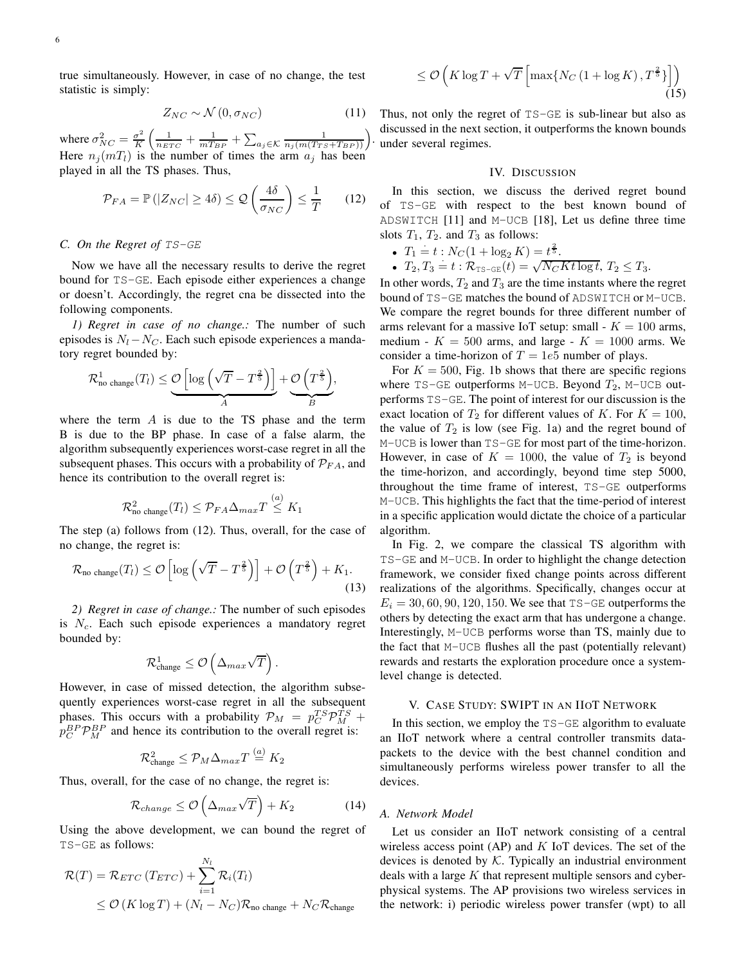true simultaneously. However, in case of no change, the test statistic is simply:

$$
Z_{NC} \sim \mathcal{N}\left(0, \sigma_{NC}\right) \tag{11}
$$

.

where  $\sigma_{NC}^2 = \frac{\sigma^2}{K}$  $\frac{\sigma^2}{K} \left( \frac{1}{n_{ETC}} + \frac{1}{mT_{BP}} + \sum_{a_j \in \mathcal{K}} \frac{1}{n_j(m(T_{TS} + T_{BP}))} \right)$ Here  $n_j(mT_l)$  is the number of times the arm  $a_j$  has been played in all the TS phases. Thus,

$$
\mathcal{P}_{FA} = \mathbb{P}\left(|Z_{NC}| \ge 4\delta\right) \le \mathcal{Q}\left(\frac{4\delta}{\sigma_{NC}}\right) \le \frac{1}{T} \qquad (12)
$$

## *C. On the Regret of* TS-GE

Now we have all the necessary results to derive the regret bound for TS-GE. Each episode either experiences a change or doesn't. Accordingly, the regret cna be dissected into the following components.

*1) Regret in case of no change.:* The number of such episodes is  $N_l - N_C$ . Each such episode experiences a mandatory regret bounded by:

$$
\mathcal{R}_{\text{no change}}^1(T_l) \leq \underbrace{\mathcal{O}\left[\log\left(\sqrt{T}-T^{\frac{2}{5}}\right)\right]}_{A} + \underbrace{\mathcal{O}\left(T^{\frac{2}{5}}\right)}_{B},
$$

where the term  $A$  is due to the TS phase and the term B is due to the BP phase. In case of a false alarm, the algorithm subsequently experiences worst-case regret in all the subsequent phases. This occurs with a probability of  $\mathcal{P}_{FA}$ , and hence its contribution to the overall regret is:

$$
\mathcal{R}_{\text{no change}}^2(T_l) \leq \mathcal{P}_{FA}\Delta_{max}T \stackrel{(a)}{\leq} K_1
$$

The step (a) follows from (12). Thus, overall, for the case of no change, the regret is:

$$
\mathcal{R}_{\text{no change}}(T_l) \leq \mathcal{O}\left[\log\left(\sqrt{T}-T^{\frac{2}{5}}\right)\right] + \mathcal{O}\left(T^{\frac{2}{5}}\right) + K_1. \tag{13}
$$

*2) Regret in case of change.:* The number of such episodes is  $N_c$ . Each such episode experiences a mandatory regret bounded by:

$$
\mathcal{R}^1_{\text{change}} \leq \mathcal{O}\left(\Delta_{max}\sqrt{T}\right).
$$

However, in case of missed detection, the algorithm subsequently experiences worst-case regret in all the subsequent phases. This occurs with a probability  $\mathcal{P}_M = p_C^{T} \mathcal{P}_M^{T} + p_C^{T} \mathcal{P}_M^{T}$  $p_C^{B} \mathcal{P}_M^{B}$  and hence its contribution to the overall regret is:

$$
\mathcal{R}^2_{\text{change}} \leq \mathcal{P}_M \Delta_{max} T \stackrel{(a)}{=} K_2
$$

Thus, overall, for the case of no change, the regret is:

$$
\mathcal{R}_{change} \le \mathcal{O}\left(\Delta_{max}\sqrt{T}\right) + K_2\tag{14}
$$

Using the above development, we can bound the regret of TS-GE as follows:

$$
\mathcal{R}(T) = \mathcal{R}_{ETC} (T_{ETC}) + \sum_{i=1}^{N_l} \mathcal{R}_i(T_l)
$$
  
\n
$$
\leq \mathcal{O}(K \log T) + (N_l - N_C) \mathcal{R}_{\text{no change}} + N_C \mathcal{R}_{\text{change}}
$$

 $\lambda$ <sup>7</sup>

$$
\leq \mathcal{O}\left(K\log T + \sqrt{T}\left[\max\{N_C\left(1 + \log K\right), T^{\frac{2}{5}}\}\right]\right)
$$
\n(15)

Thus, not only the regret of TS-GE is sub-linear but also as discussed in the next section, it outperforms the known bounds under several regimes.

## IV. DISCUSSION

In this section, we discuss the derived regret bound of TS-GE with respect to the best known bound of ADSWITCH [11] and M-UCB [18], Let us define three time slots  $T_1$ ,  $T_2$ , and  $T_3$  as follows:

- $T_1 \doteq t : N_C(1 + \log_2 K) = t^{\frac{2}{5}}.$
- $T_2, T_3 = t : \mathcal{R}_{\text{TS-GE}}(t) = \sqrt{N_C K t \log t}, T_2 \leq T_3.$

In other words,  $T_2$  and  $T_3$  are the time instants where the regret bound of TS-GE matches the bound of ADSWITCH or M-UCB. We compare the regret bounds for three different number of arms relevant for a massive IoT setup: small -  $K = 100$  arms, medium -  $K = 500$  arms, and large -  $K = 1000$  arms. We consider a time-horizon of  $T = 1e5$  number of plays.

For  $K = 500$ , Fig. 1b shows that there are specific regions where  $TS-GE$  outperforms M-UCB. Beyond  $T_2$ , M-UCB outperforms TS-GE. The point of interest for our discussion is the exact location of  $T_2$  for different values of K. For  $K = 100$ , the value of  $T_2$  is low (see Fig. 1a) and the regret bound of M-UCB is lower than TS-GE for most part of the time-horizon. However, in case of  $K = 1000$ , the value of  $T_2$  is beyond the time-horizon, and accordingly, beyond time step 5000, throughout the time frame of interest, TS-GE outperforms M-UCB. This highlights the fact that the time-period of interest in a specific application would dictate the choice of a particular algorithm.

In Fig. 2, we compare the classical TS algorithm with TS-GE and M-UCB. In order to highlight the change detection framework, we consider fixed change points across different realizations of the algorithms. Specifically, changes occur at  $E_i = 30, 60, 90, 120, 150$ . We see that TS-GE outperforms the others by detecting the exact arm that has undergone a change. Interestingly, M-UCB performs worse than TS, mainly due to the fact that M-UCB flushes all the past (potentially relevant) rewards and restarts the exploration procedure once a systemlevel change is detected.

## V. CASE STUDY: SWIPT IN AN IIOT NETWORK

In this section, we employ the TS-GE algorithm to evaluate an IIoT network where a central controller transmits datapackets to the device with the best channel condition and simultaneously performs wireless power transfer to all the devices.

#### *A. Network Model*

Let us consider an IIoT network consisting of a central wireless access point  $AP$ ) and  $K$  IoT devices. The set of the devices is denoted by  $K$ . Typically an industrial environment deals with a large  $K$  that represent multiple sensors and cyberphysical systems. The AP provisions two wireless services in the network: i) periodic wireless power transfer (wpt) to all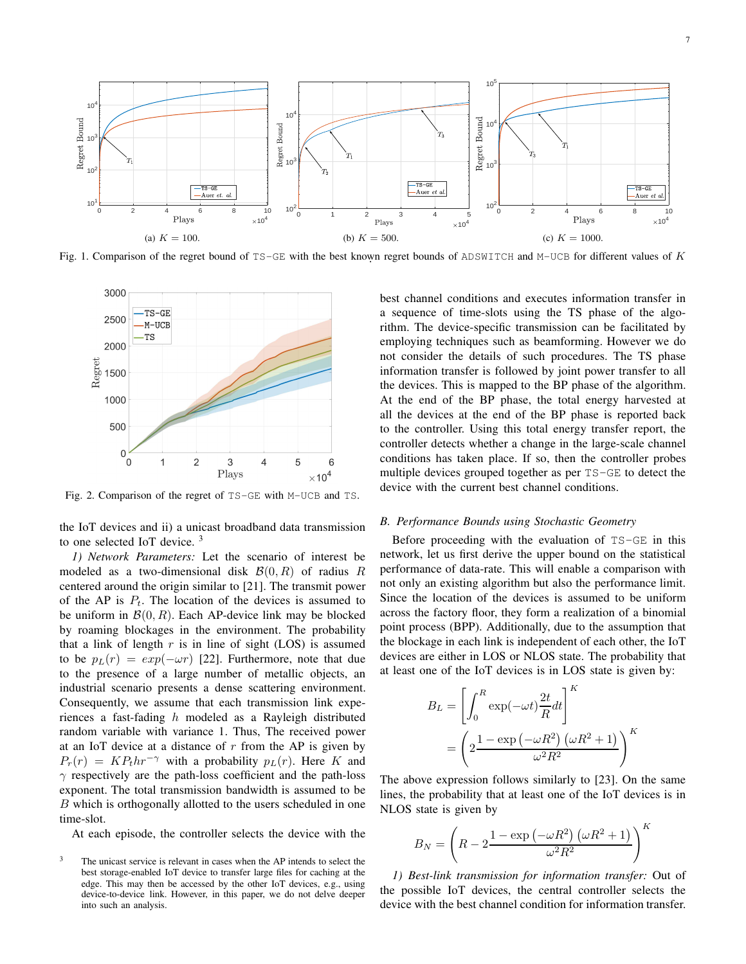

Fig. 1. Comparison of the regret bound of  $TS-GE$  with the best known regret bounds of ADSWITCH and M-UCB for different values of K



Fig. 2. Comparison of the regret of TS-GE with M-UCB and TS.

the IoT devices and ii) a unicast broadband data transmission to one selected IoT device. <sup>3</sup>

*1) Network Parameters:* Let the scenario of interest be modeled as a two-dimensional disk  $\mathcal{B}(0, R)$  of radius R centered around the origin similar to [21]. The transmit power of the AP is  $P_t$ . The location of the devices is assumed to be uniform in  $\mathcal{B}(0, R)$ . Each AP-device link may be blocked by roaming blockages in the environment. The probability that a link of length  $r$  is in line of sight (LOS) is assumed to be  $p_L(r) = exp(-\omega r)$  [22]. Furthermore, note that due to the presence of a large number of metallic objects, an industrial scenario presents a dense scattering environment. Consequently, we assume that each transmission link experiences a fast-fading h modeled as a Rayleigh distributed random variable with variance 1. Thus, The received power at an IoT device at a distance of  $r$  from the AP is given by  $P_r(r) = KP_t h r^{-\gamma}$  with a probability  $p_L(r)$ . Here K and  $\gamma$  respectively are the path-loss coefficient and the path-loss exponent. The total transmission bandwidth is assumed to be B which is orthogonally allotted to the users scheduled in one time-slot.

At each episode, the controller selects the device with the

best channel conditions and executes information transfer in a sequence of time-slots using the TS phase of the algorithm. The device-specific transmission can be facilitated by employing techniques such as beamforming. However we do not consider the details of such procedures. The TS phase information transfer is followed by joint power transfer to all the devices. This is mapped to the BP phase of the algorithm. At the end of the BP phase, the total energy harvested at all the devices at the end of the BP phase is reported back to the controller. Using this total energy transfer report, the controller detects whether a change in the large-scale channel conditions has taken place. If so, then the controller probes multiple devices grouped together as per TS-GE to detect the device with the current best channel conditions.

## *B. Performance Bounds using Stochastic Geometry*

Before proceeding with the evaluation of TS-GE in this network, let us first derive the upper bound on the statistical performance of data-rate. This will enable a comparison with not only an existing algorithm but also the performance limit. Since the location of the devices is assumed to be uniform across the factory floor, they form a realization of a binomial point process (BPP). Additionally, due to the assumption that the blockage in each link is independent of each other, the IoT devices are either in LOS or NLOS state. The probability that at least one of the IoT devices is in LOS state is given by:

$$
B_L = \left[ \int_0^R \exp(-\omega t) \frac{2t}{R} dt \right]^K
$$
  
= 
$$
\left( 2 \frac{1 - \exp(-\omega R^2) (\omega R^2 + 1)}{\omega^2 R^2} \right)^K
$$

The above expression follows similarly to [23]. On the same lines, the probability that at least one of the IoT devices is in NLOS state is given by

$$
B_N = \left(R - 2\frac{1 - \exp(-\omega R^2)(\omega R^2 + 1)}{\omega^2 R^2}\right)^K
$$

*1) Best-link transmission for information transfer:* Out of the possible IoT devices, the central controller selects the device with the best channel condition for information transfer.

The unicast service is relevant in cases when the AP intends to select the best storage-enabled IoT device to transfer large files for caching at the edge. This may then be accessed by the other IoT devices, e.g., using device-to-device link. However, in this paper, we do not delve deeper into such an analysis.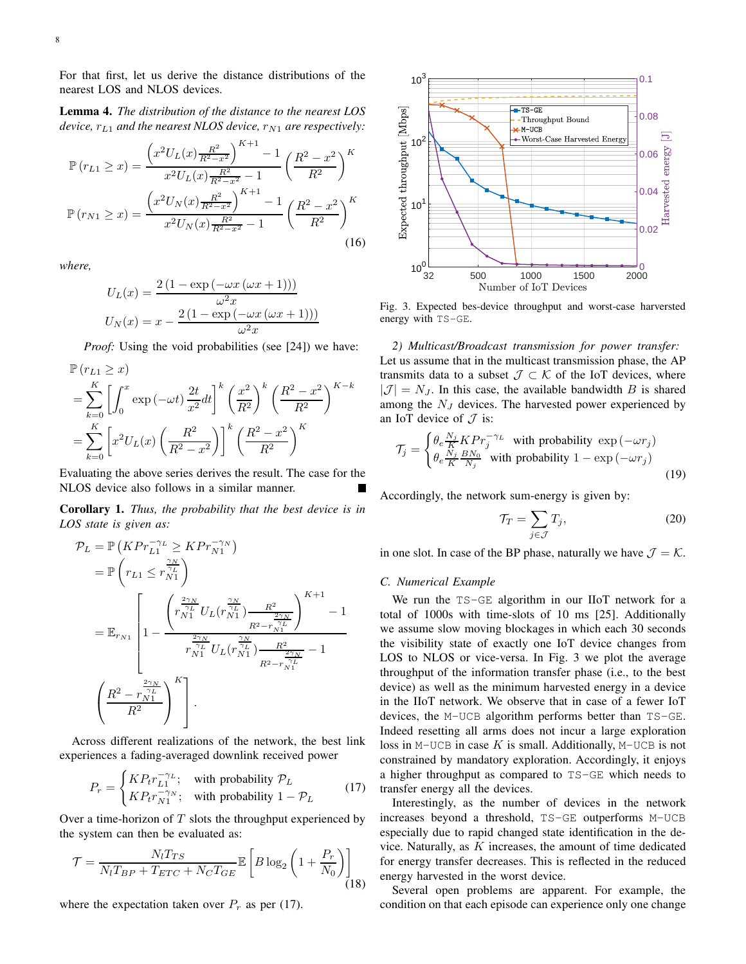For that first, let us derive the distance distributions of the nearest LOS and NLOS devices.

Lemma 4. *The distribution of the distance to the nearest LOS device,*  $r_{L1}$  *and the nearest NLOS device,*  $r_{N1}$  *are respectively:* 

$$
\mathbb{P}(r_{L1} \ge x) = \frac{\left(x^2 U_L(x) \frac{R^2}{R^2 - x^2}\right)^{K+1} - 1}{x^2 U_L(x) \frac{R^2}{R^2 - x^2} - 1} \left(\frac{R^2 - x^2}{R^2}\right)^K
$$

$$
\mathbb{P}(r_{N1} \ge x) = \frac{\left(x^2 U_N(x) \frac{R^2}{R^2 - x^2}\right)^{K+1} - 1}{x^2 U_N(x) \frac{R^2}{R^2 - x^2} - 1} \left(\frac{R^2 - x^2}{R^2}\right)^K
$$
(16)

*where,*

$$
U_L(x) = \frac{2\left(1 - \exp\left(-\omega x \left(\omega x + 1\right)\right)\right)}{\omega^2 x}
$$

$$
U_N(x) = x - \frac{2\left(1 - \exp\left(-\omega x \left(\omega x + 1\right)\right)\right)}{\omega^2 x}
$$

*Proof:* Using the void probabilities (see [24]) we have:

$$
\mathbb{P}(r_{L1} \geq x)
$$
\n
$$
= \sum_{k=0}^{K} \left[ \int_0^x \exp\left(-\omega t\right) \frac{2t}{x^2} dt \right]^k \left(\frac{x^2}{R^2}\right)^k \left(\frac{R^2 - x^2}{R^2}\right)^{K-k}
$$
\n
$$
= \sum_{k=0}^{K} \left[ x^2 U_L(x) \left(\frac{R^2}{R^2 - x^2}\right) \right]^k \left(\frac{R^2 - x^2}{R^2}\right)^K
$$

Evaluating the above series derives the result. The case for the NLOS device also follows in a similar manner.

Corollary 1. *Thus, the probability that the best device is in LOS state is given as:*

$$
\mathcal{P}_{L} = \mathbb{P}\left(KPr_{L1}^{-\gamma_{L}} \geq KPr_{N1}^{-\gamma_{N}}\right)
$$
\n
$$
= \mathbb{P}\left(r_{L1} \leq r_{N1}^{\frac{\gamma_{N}}{\gamma_{L}}}\right)
$$
\n
$$
= \mathbb{E}_{r_{N1}}\left[1 - \frac{\left(r_{N1}^{\frac{2\gamma_{N}}{\gamma_{L}}} U_{L}(r_{N1}^{\frac{\gamma_{N}}{\gamma_{L}}}) - \frac{R^{2}}{2\gamma_{N}}\right)^{K+1}}{r_{N1}^{\frac{2\gamma_{N}}{\gamma_{L}}} U_{L}(r_{N1}^{\frac{\gamma_{N}}{\gamma_{L}}}) - \frac{R^{2}}{R^{2} - r_{N1}^{\frac{\gamma_{L}}{\gamma_{L}}}} - 1}\right]
$$
\n
$$
\left(\frac{R^{2} - r_{N1}^{\frac{2\gamma_{N}}{\gamma_{L}}}}{R^{2}}\right)^{K}\right].
$$

Across different realizations of the network, the best link experiences a fading-averaged downlink received power

$$
P_r = \begin{cases} KP_t r_{L1}^{-\gamma_L}; & \text{with probability } \mathcal{P}_L \\ KP_t r_{N1}^{-\gamma_N}; & \text{with probability } 1 - \mathcal{P}_L \end{cases}
$$
 (17)

Over a time-horizon of  $T$  slots the throughput experienced by the system can then be evaluated as:

$$
\mathcal{T} = \frac{N_l T_{TS}}{N_l T_{BP} + T_{ETC} + N_C T_{GE}} \mathbb{E}\left[B \log_2 \left(1 + \frac{P_r}{N_0}\right)\right]
$$
\n(18)

where the expectation taken over  $P_r$  as per (17).



Fig. 3. Expected bes-device throughput and worst-case harversted energy with TS-GE.

*2) Multicast/Broadcast transmission for power transfer:* Let us assume that in the multicast transmission phase, the AP transmits data to a subset  $\mathcal{J} \subset \mathcal{K}$  of the IoT devices, where  $|\mathcal{J}| = N_J$ . In this case, the available bandwidth B is shared among the  $N_J$  devices. The harvested power experienced by an IoT device of  $\mathcal J$  is:

$$
\mathcal{T}_j = \begin{cases} \theta_e \frac{N_j}{K} K P r_j^{-\gamma_L} & \text{with probability } \exp(-\omega r_j) \\ \theta_e \frac{N_j}{K} \frac{B N_0}{N_j} & \text{with probability } 1 - \exp(-\omega r_j) \end{cases}
$$
\n(19)

Accordingly, the network sum-energy is given by:

$$
\mathcal{T}_T = \sum_{j \in \mathcal{J}} T_j,\tag{20}
$$

in one slot. In case of the BP phase, naturally we have  $\mathcal{J} = \mathcal{K}$ .

## *C. Numerical Example*

We run the TS-GE algorithm in our IIoT network for a total of 1000s with time-slots of 10 ms [25]. Additionally we assume slow moving blockages in which each 30 seconds the visibility state of exactly one IoT device changes from LOS to NLOS or vice-versa. In Fig. 3 we plot the average throughput of the information transfer phase (i.e., to the best device) as well as the minimum harvested energy in a device in the IIoT network. We observe that in case of a fewer IoT devices, the M-UCB algorithm performs better than TS-GE. Indeed resetting all arms does not incur a large exploration loss in M-UCB in case  $K$  is small. Additionally, M-UCB is not constrained by mandatory exploration. Accordingly, it enjoys a higher throughput as compared to TS-GE which needs to transfer energy all the devices.

Interestingly, as the number of devices in the network increases beyond a threshold, TS-GE outperforms M-UCB especially due to rapid changed state identification in the device. Naturally, as K increases, the amount of time dedicated for energy transfer decreases. This is reflected in the reduced energy harvested in the worst device.

Several open problems are apparent. For example, the condition on that each episode can experience only one change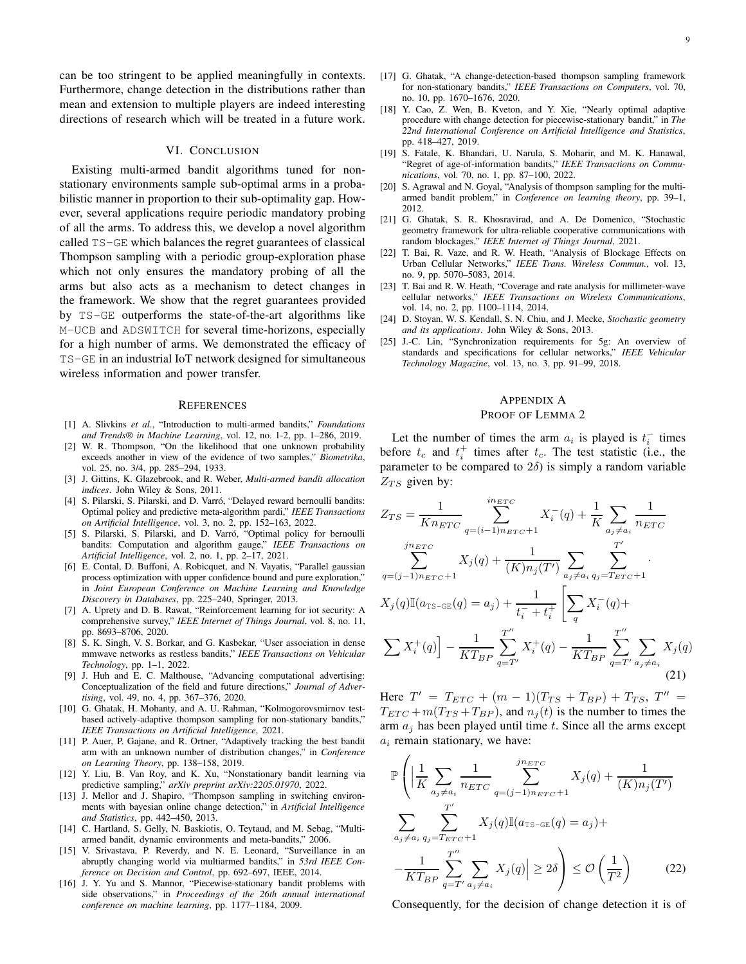can be too stringent to be applied meaningfully in contexts. Furthermore, change detection in the distributions rather than mean and extension to multiple players are indeed interesting directions of research which will be treated in a future work.

#### VI. CONCLUSION

Existing multi-armed bandit algorithms tuned for nonstationary environments sample sub-optimal arms in a probabilistic manner in proportion to their sub-optimality gap. However, several applications require periodic mandatory probing of all the arms. To address this, we develop a novel algorithm called TS-GE which balances the regret guarantees of classical Thompson sampling with a periodic group-exploration phase which not only ensures the mandatory probing of all the arms but also acts as a mechanism to detect changes in the framework. We show that the regret guarantees provided by TS-GE outperforms the state-of-the-art algorithms like M-UCB and ADSWITCH for several time-horizons, especially for a high number of arms. We demonstrated the efficacy of TS-GE in an industrial IoT network designed for simultaneous wireless information and power transfer.

#### **REFERENCES**

- [1] A. Slivkins *et al.*, "Introduction to multi-armed bandits," *Foundations and Trends® in Machine Learning*, vol. 12, no. 1-2, pp. 1–286, 2019.
- [2] W. R. Thompson, "On the likelihood that one unknown probability exceeds another in view of the evidence of two samples," *Biometrika*, vol. 25, no. 3/4, pp. 285–294, 1933.
- [3] J. Gittins, K. Glazebrook, and R. Weber, *Multi-armed bandit allocation indices*. John Wiley & Sons, 2011.
- [4] S. Pilarski, S. Pilarski, and D. Varró, "Delayed reward bernoulli bandits: Optimal policy and predictive meta-algorithm pardi," *IEEE Transactions on Artificial Intelligence*, vol. 3, no. 2, pp. 152–163, 2022.
- [5] S. Pilarski, S. Pilarski, and D. Varró, "Optimal policy for bernoulli bandits: Computation and algorithm gauge," *IEEE Transactions on Artificial Intelligence*, vol. 2, no. 1, pp. 2–17, 2021.
- [6] E. Contal, D. Buffoni, A. Robicquet, and N. Vayatis, "Parallel gaussian process optimization with upper confidence bound and pure exploration," in *Joint European Conference on Machine Learning and Knowledge Discovery in Databases*, pp. 225–240, Springer, 2013.
- [7] A. Uprety and D. B. Rawat, "Reinforcement learning for iot security: A comprehensive survey," *IEEE Internet of Things Journal*, vol. 8, no. 11, pp. 8693–8706, 2020.
- [8] S. K. Singh, V. S. Borkar, and G. Kasbekar, "User association in dense mmwave networks as restless bandits," *IEEE Transactions on Vehicular Technology*, pp. 1–1, 2022.
- [9] J. Huh and E. C. Malthouse, "Advancing computational advertising: Conceptualization of the field and future directions," *Journal of Advertising*, vol. 49, no. 4, pp. 367–376, 2020.
- [10] G. Ghatak, H. Mohanty, and A. U. Rahman, "Kolmogorovsmirnov testbased actively-adaptive thompson sampling for non-stationary bandits," *IEEE Transactions on Artificial Intelligence*, 2021.
- [11] P. Auer, P. Gajane, and R. Ortner, "Adaptively tracking the best bandit arm with an unknown number of distribution changes," in *Conference on Learning Theory*, pp. 138–158, 2019.
- [12] Y. Liu, B. Van Roy, and K. Xu, "Nonstationary bandit learning via predictive sampling," *arXiv preprint arXiv:2205.01970*, 2022.
- [13] J. Mellor and J. Shapiro, "Thompson sampling in switching environments with bayesian online change detection," in *Artificial Intelligence and Statistics*, pp. 442–450, 2013.
- [14] C. Hartland, S. Gelly, N. Baskiotis, O. Teytaud, and M. Sebag, "Multiarmed bandit, dynamic environments and meta-bandits," 2006.
- [15] V. Srivastava, P. Reverdy, and N. E. Leonard, "Surveillance in an abruptly changing world via multiarmed bandits," in *53rd IEEE Conference on Decision and Control*, pp. 692–697, IEEE, 2014.
- [16] J. Y. Yu and S. Mannor, "Piecewise-stationary bandit problems with side observations," in *Proceedings of the 26th annual international conference on machine learning*, pp. 1177–1184, 2009.
- [17] G. Ghatak, "A change-detection-based thompson sampling framework for non-stationary bandits," *IEEE Transactions on Computers*, vol. 70, no. 10, pp. 1670–1676, 2020.
- [18] Y. Cao, Z. Wen, B. Kveton, and Y. Xie, "Nearly optimal adaptive procedure with change detection for piecewise-stationary bandit," in *The 22nd International Conference on Artificial Intelligence and Statistics*, pp. 418–427, 2019.
- [19] S. Fatale, K. Bhandari, U. Narula, S. Moharir, and M. K. Hanawal, "Regret of age-of-information bandits," *IEEE Transactions on Communications*, vol. 70, no. 1, pp. 87–100, 2022.
- [20] S. Agrawal and N. Goyal, "Analysis of thompson sampling for the multiarmed bandit problem," in *Conference on learning theory*, pp. 39–1, 2012.
- [21] G. Ghatak, S. R. Khosravirad, and A. De Domenico, "Stochastic geometry framework for ultra-reliable cooperative communications with random blockages," *IEEE Internet of Things Journal*, 2021.
- [22] T. Bai, R. Vaze, and R. W. Heath, "Analysis of Blockage Effects on Urban Cellular Networks," *IEEE Trans. Wireless Commun.*, vol. 13, no. 9, pp. 5070–5083, 2014.
- [23] T. Bai and R. W. Heath, "Coverage and rate analysis for millimeter-wave cellular networks," *IEEE Transactions on Wireless Communications*, vol. 14, no. 2, pp. 1100–1114, 2014.
- [24] D. Stoyan, W. S. Kendall, S. N. Chiu, and J. Mecke, *Stochastic geometry and its applications*. John Wiley & Sons, 2013.
- [25] J.-C. Lin, "Synchronization requirements for 5g: An overview of standards and specifications for cellular networks," *IEEE Vehicular Technology Magazine*, vol. 13, no. 3, pp. 91–99, 2018.

## APPENDIX A PROOF OF LEMMA 2

Let the number of times the arm  $a_i$  is played is  $t_i^-$  times before  $t_c$  and  $t_i^+$  times after  $t_c$ . The test statistic (i.e., the parameter to be compared to  $2\delta$ ) is simply a random variable  $Z_{TS}$  given by:

$$
Z_{TS} = \frac{1}{Kn_{ETC}} \sum_{q=(i-1)_{TETC}+1}^{in_{ETC}} X_i^-(q) + \frac{1}{K} \sum_{a_j \neq a_i} \frac{1}{n_{ETC}}
$$
  

$$
\sum_{q=(j-1)_{TETC}+1}^{in_{ETC}} X_j(q) + \frac{1}{(K)n_j(T')} \sum_{a_j \neq a_i} \sum_{q_j=TETC+1}^{T'} \frac{1}{X_j(q) \mathbb{I}(a_{TS-GE}(q) = a_j) + \frac{1}{t_i^- + t_i^+}} \left[ \sum_q X_i^-(q) + \frac{1}{KT_{BP}} \sum_{q=T'}^{T'} X_i^+(q) - \frac{1}{KT_{BP}} \sum_{q=T'}^{T'} \sum_{a_j \neq a_i} X_j(q) \right]
$$
(21)

Here  $T' = T_{ETC} + (m-1)(T_{TS} + T_{BP}) + T_{TS}$ ,  $T'' =$  $T_{ETC} + m(T_{TS} + T_{BP})$ , and  $n_i(t)$  is the number to times the arm  $a_i$  has been played until time t. Since all the arms except  $a_i$  remain stationary, we have:

$$
\mathbb{P}\left(\left|\frac{1}{K}\sum_{a_j\neq a_i} \frac{1}{n_{ETC}} \sum_{q=(j-1)n_{ETC}+1}^{jn_{ETC}} X_j(q) + \frac{1}{(K)n_j(T')}\right|\right)
$$

$$
\sum_{a_j\neq a_i} \sum_{q_j=Tr_{ETC}+1}^{T'} X_j(q)\mathbb{I}(a_{TS-GE}(q) = a_j) +
$$

$$
-\frac{1}{KT_{BP}} \sum_{q=T'}^{T'} \sum_{a_j\neq a_i} X_j(q) \geq 2\delta\right) \leq \mathcal{O}\left(\frac{1}{T^2}\right) \tag{22}
$$

Consequently, for the decision of change detection it is of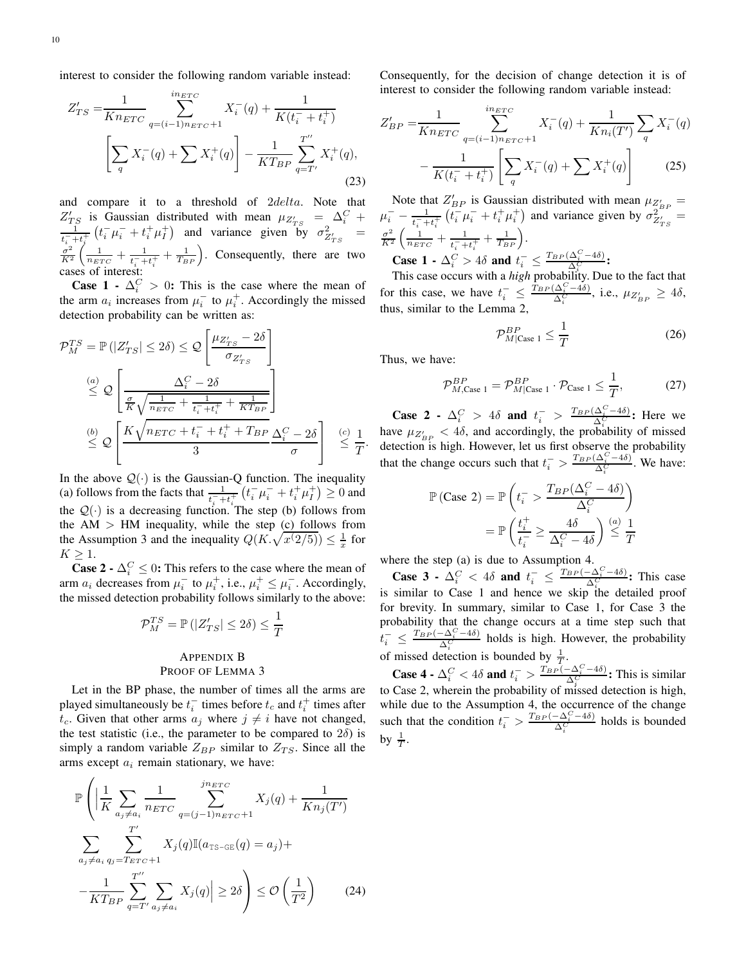interest to consider the following random variable instead:

$$
Z'_{TS} = \frac{1}{K n_{ETC}} \sum_{q=(i-1) n_{ETC}+1}^{i n_{ETC}} X_i^-(q) + \frac{1}{K(t_i^- + t_i^+)} \left[ \sum_q X_i^-(q) + \sum X_i^+(q) \right] - \frac{1}{K T_{BP}} \sum_{q=T'}^{T''} X_i^+(q), \tag{23}
$$

and compare it to a threshold of 2delta. Note that  $Z'_{TS}$  is Gaussian distributed with mean  $\mu_{Z'_{TS}} = \Delta_i^C + \frac{1}{\sqrt{1 - (L^2 - L^2 + L^2)}}$  and variance given by  $\sigma^2$  $\frac{1}{t_i^2+t_i^+}(t_i^-\mu_i^-+t_i^+\mu_i^+)$  and variance given by  $\sigma_{Z'_{TS}}^2$  =  $\sigma^2$  $\frac{\sigma^2}{K^2}\left(\frac{1}{n_{ETC}}+\frac{1}{t_i^-+}\right)$  $\frac{1}{t_i^+ + t_i^+} + \frac{1}{T_{BP}}$ . Consequently, there are two cases of interest:

**Case 1** -  $\Delta_i^C > 0$ : This is the case where the mean of the arm  $a_i$  increases from  $\mu_i^-$  to  $\mu_i^+$ . Accordingly the missed detection probability can be written as:

$$
\mathcal{P}_{M}^{TS} = \mathbb{P}(|Z'_{TS}| \leq 2\delta) \leq \mathcal{Q}\left[\frac{\mu_{Z'_{TS}} - 2\delta}{\sigma_{Z'_{TS}}}\right]
$$
\n
$$
\overset{(a)}{\leq} \mathcal{Q}\left[\frac{\Delta_{\zeta}^{C} - 2\delta}{\frac{\sigma}{K}\sqrt{\frac{1}{n_{ETC}} + \frac{1}{t_{i}^{-} + t_{i}^{+}} + \frac{1}{K T_{BP}}}}\right]
$$
\n
$$
\overset{(b)}{\leq} \mathcal{Q}\left[\frac{K\sqrt{n_{ETC} + t_{i}^{-} + t_{i}^{+} + T_{BP}}}{3} \frac{\Delta_{i}^{C} - 2\delta}{\sigma}\right] \overset{(c)}{\leq} \frac{1}{T}.
$$

In the above  $Q(\cdot)$  is the Gaussian-Q function. The inequality (a) follows from the facts that  $\frac{1}{t_i^- + t_i^+} (t_i^- \mu_i^- + t_i^+ \mu_i^+) \ge 0$  and the  $Q(\cdot)$  is a decreasing function. The step (b) follows from the  $AM$  > HM inequality, while the step (c) follows from the Assumption 3 and the inequality  $Q(K, \sqrt{x(2/5)}) \leq \frac{1}{x}$  for  $K \geq 1$ .

**Case 2 -**  $\Delta_i^C \leq 0$ : This refers to the case where the mean of arm  $a_i$  decreases from  $\mu_i^-$  to  $\mu_i^+$ , i.e.,  $\mu_i^+ \leq \mu_i^-$ . Accordingly, the missed detection probability follows similarly to the above:

$$
\mathcal{P}_M^{TS} = \mathbb{P}\left(|Z'_{TS}| \le 2\delta\right) \le \frac{1}{T}
$$

## APPENDIX B PROOF OF LEMMA 3

Let in the BP phase, the number of times all the arms are played simultaneously be  $t_i^-$  times before  $t_c$  and  $t_i^+$  times after  $t_c$ . Given that other arms  $a_j$  where  $j \neq i$  have not changed, the test statistic (i.e., the parameter to be compared to  $2\delta$ ) is simply a random variable  $Z_{BP}$  similar to  $Z_{TS}$ . Since all the arms except  $a_i$  remain stationary, we have:

$$
\mathbb{P}\left(\left|\frac{1}{K}\sum_{a_j\neq a_i}\frac{1}{n_{ETC}}\sum_{q=(j-1)n_{ETC}+1}^{jn_{ETC}}X_j(q) + \frac{1}{Kn_j(T')}\right|\right)
$$

$$
\sum_{a_j\neq a_i}\sum_{q_j=Tr_C+1}^{T'}X_j(q)\mathbb{I}(a_{TS-GE}(q) = a_j) +
$$

$$
-\frac{1}{KT_{BP}}\sum_{q=T'}^{T''}\sum_{a_j\neq a_i}X_j(q)\right| \geq 2\delta\right) \leq \mathcal{O}\left(\frac{1}{T^2}\right) \qquad (24)
$$

Consequently, for the decision of change detection it is of interest to consider the following random variable instead:

$$
Z'_{BP} = \frac{1}{K n_{ETC}} \sum_{q=(i-1)n_{ETC}+1}^{i n_{ETC}} X_i^-(q) + \frac{1}{K n_i(T')} \sum_q X_i^-(q) - \frac{1}{K (t_i^- + t_i^+)} \left[ \sum_q X_i^-(q) + \sum_j X_i^+(q) \right]
$$
(25)

Note that  $Z'_{BP}$  is Gaussian distributed with mean  $\mu_{Z'_{BP}} =$  $\mu_i^-$  –  $\frac{1}{t_i^- + t_i^+}$   $(t_i^- \mu_i^- + t_i^+ \mu_i^+)$  and variance given by  $\sigma_{Z'_{TS}}^{Z_{BF}}$  $\frac{1}{t_i^- + t_i^+} (t_i^- \mu_i^- + t_i^+ \mu_i^+)$  and variance given by  $\sigma_{Z'_{TS}}^{2^{2^{*2}}} =$  $\sigma^2$  $rac{\sigma^2}{K^2} \left( \frac{1}{n_{ETC}} + \frac{1}{t_i + t} \right)$  $\frac{1}{t_i^- + t_i^+} + \frac{1}{T_{BP}}$ . **Case 1** -  $\Delta_i^C > 4\delta$  and  $t_i^- \leq \frac{T_{BP}(\Delta_i^C - 4\delta)}{\Delta_i^C}$ :

This case occurs with a *high* probability. Due to the fact that for this case, we have  $t_i^- \leq \frac{\hat{T}_{BP}(\Delta_i^C - 4\delta)}{\Delta_i^C}$ , i.e.,  $\mu_{Z'_{BP}} \geq 4\delta$ , thus, similar to the Lemma 2,

$$
\mathcal{P}_{M|\text{Case 1}}^{BP} \le \frac{1}{T} \tag{26}
$$

Thus, we have:

$$
\mathcal{P}_{M,\text{Case 1}}^{BP} = \mathcal{P}_{M|\text{Case 1}}^{BP} \cdot \mathcal{P}_{\text{Case 1}} \le \frac{1}{T},\tag{27}
$$

Case 2 -  $\Delta_i^C > 4\delta$  and  $t_i^- > \frac{T_{BP}(\Delta_i^C - 4\delta)}{\Delta_i^C}$ ; Here we have  $\mu_{Z'_{BP}} < 4\delta$ , and accordingly, the probability of missed detection is high. However, let us first observe the probability that the change occurs such that  $t_i^- > \frac{T_{BP}(\Delta_i^C - 4\delta)}{\Delta_i^C}$ . We have:

$$
\mathbb{P}(\text{Case 2}) = \mathbb{P}\left(t_i^- > \frac{T_{BP}(\Delta_i^C - 4\delta)}{\Delta_i^C}\right)
$$

$$
= \mathbb{P}\left(\frac{t_i^+}{t_i^-} \ge \frac{4\delta}{\Delta_i^C - 4\delta}\right) \stackrel{(a)}{\leq} \frac{1}{T}
$$

where the step (a) is due to Assumption 4.

Case 3 -  $\Delta_i^C$  < 4 $\delta$  and  $t_i^ \leq \frac{T_{BP}(-\Delta_i^C-4\delta)}{\Delta_i^C}$ . This case is similar to Case 1 and hence we skip the detailed proof for brevity. In summary, similar to Case 1, for Case 3 the probability that the change occurs at a time step such that  $t_i^{-} \leq \frac{T_{BP}(-\Delta_i^C - 4\delta)}{\Delta_i^C}$  holds is high. However, the probability of missed detection is bounded by  $\frac{1}{T}$ .

Case 4 -  $\Delta_i^C < 4\delta$  and  $t_i^- > \frac{T_{BP}(-\Delta_i^C - 4\delta)}{\Delta_i^C}$ : This is similar to Case 2, wherein the probability of missed detection is high, while due to the Assumption 4, the occurrence of the change such that the condition  $t_i^- > \frac{T_{BP}(-\Delta_i^C - 4\delta)}{\Delta_i^C}$  holds is bounded by  $\frac{1}{T}$ .